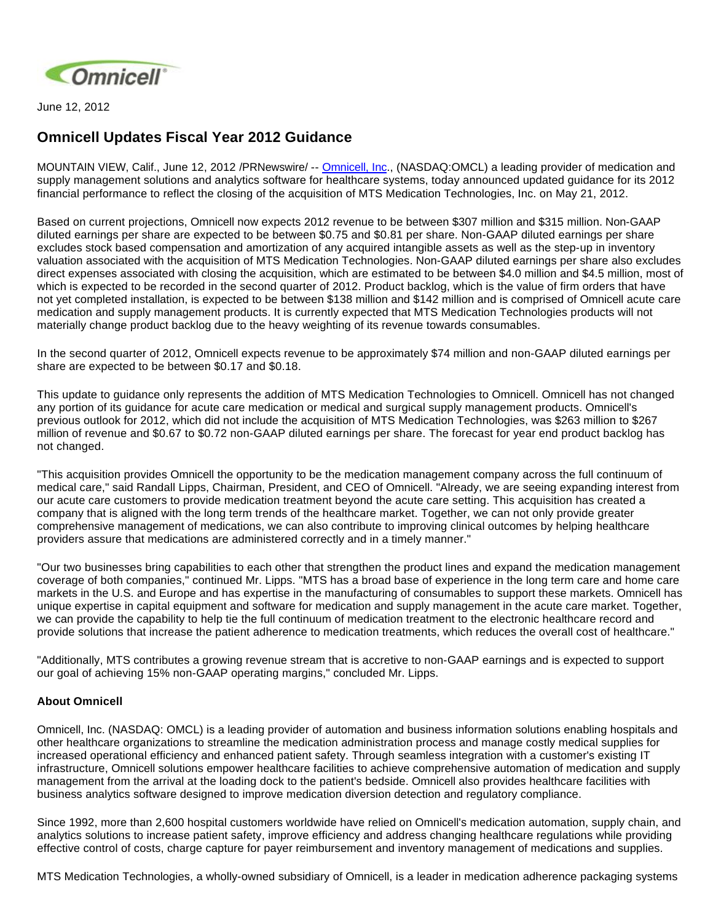

June 12, 2012

## **Omnicell Updates Fiscal Year 2012 Guidance**

MOUNTAIN VIEW, Calif., June 12, 2012 /PRNewswire/ -- [Omnicell, Inc](http://www.omnicell.com/)., (NASDAQ:OMCL) a leading provider of medication and supply management solutions and analytics software for healthcare systems, today announced updated guidance for its 2012 financial performance to reflect the closing of the acquisition of MTS Medication Technologies, Inc. on May 21, 2012.

Based on current projections, Omnicell now expects 2012 revenue to be between \$307 million and \$315 million. Non-GAAP diluted earnings per share are expected to be between \$0.75 and \$0.81 per share. Non-GAAP diluted earnings per share excludes stock based compensation and amortization of any acquired intangible assets as well as the step-up in inventory valuation associated with the acquisition of MTS Medication Technologies. Non-GAAP diluted earnings per share also excludes direct expenses associated with closing the acquisition, which are estimated to be between \$4.0 million and \$4.5 million, most of which is expected to be recorded in the second quarter of 2012. Product backlog, which is the value of firm orders that have not yet completed installation, is expected to be between \$138 million and \$142 million and is comprised of Omnicell acute care medication and supply management products. It is currently expected that MTS Medication Technologies products will not materially change product backlog due to the heavy weighting of its revenue towards consumables.

In the second quarter of 2012, Omnicell expects revenue to be approximately \$74 million and non-GAAP diluted earnings per share are expected to be between \$0.17 and \$0.18.

This update to guidance only represents the addition of MTS Medication Technologies to Omnicell. Omnicell has not changed any portion of its guidance for acute care medication or medical and surgical supply management products. Omnicell's previous outlook for 2012, which did not include the acquisition of MTS Medication Technologies, was \$263 million to \$267 million of revenue and \$0.67 to \$0.72 non-GAAP diluted earnings per share. The forecast for year end product backlog has not changed.

"This acquisition provides Omnicell the opportunity to be the medication management company across the full continuum of medical care," said Randall Lipps, Chairman, President, and CEO of Omnicell. "Already, we are seeing expanding interest from our acute care customers to provide medication treatment beyond the acute care setting. This acquisition has created a company that is aligned with the long term trends of the healthcare market. Together, we can not only provide greater comprehensive management of medications, we can also contribute to improving clinical outcomes by helping healthcare providers assure that medications are administered correctly and in a timely manner."

"Our two businesses bring capabilities to each other that strengthen the product lines and expand the medication management coverage of both companies," continued Mr. Lipps. "MTS has a broad base of experience in the long term care and home care markets in the U.S. and Europe and has expertise in the manufacturing of consumables to support these markets. Omnicell has unique expertise in capital equipment and software for medication and supply management in the acute care market. Together, we can provide the capability to help tie the full continuum of medication treatment to the electronic healthcare record and provide solutions that increase the patient adherence to medication treatments, which reduces the overall cost of healthcare."

"Additionally, MTS contributes a growing revenue stream that is accretive to non-GAAP earnings and is expected to support our goal of achieving 15% non-GAAP operating margins," concluded Mr. Lipps.

## **About Omnicell**

Omnicell, Inc. (NASDAQ: OMCL) is a leading provider of automation and business information solutions enabling hospitals and other healthcare organizations to streamline the medication administration process and manage costly medical supplies for increased operational efficiency and enhanced patient safety. Through seamless integration with a customer's existing IT infrastructure, Omnicell solutions empower healthcare facilities to achieve comprehensive automation of medication and supply management from the arrival at the loading dock to the patient's bedside. Omnicell also provides healthcare facilities with business analytics software designed to improve medication diversion detection and regulatory compliance.

Since 1992, more than 2,600 hospital customers worldwide have relied on Omnicell's medication automation, supply chain, and analytics solutions to increase patient safety, improve efficiency and address changing healthcare regulations while providing effective control of costs, charge capture for payer reimbursement and inventory management of medications and supplies.

MTS Medication Technologies, a wholly-owned subsidiary of Omnicell, is a leader in medication adherence packaging systems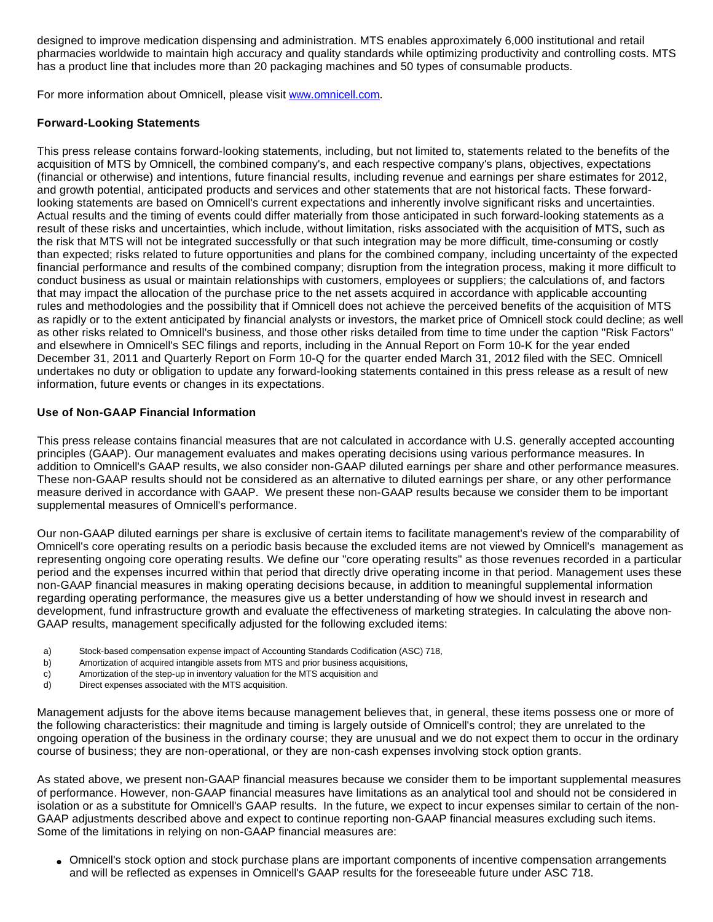designed to improve medication dispensing and administration. MTS enables approximately 6,000 institutional and retail pharmacies worldwide to maintain high accuracy and quality standards while optimizing productivity and controlling costs. MTS has a product line that includes more than 20 packaging machines and 50 types of consumable products.

For more information about Omnicell, please visit [www.omnicell.com](http://www.omnicell.com/).

## **Forward-Looking Statements**

This press release contains forward-looking statements, including, but not limited to, statements related to the benefits of the acquisition of MTS by Omnicell, the combined company's, and each respective company's plans, objectives, expectations (financial or otherwise) and intentions, future financial results, including revenue and earnings per share estimates for 2012, and growth potential, anticipated products and services and other statements that are not historical facts. These forwardlooking statements are based on Omnicell's current expectations and inherently involve significant risks and uncertainties. Actual results and the timing of events could differ materially from those anticipated in such forward-looking statements as a result of these risks and uncertainties, which include, without limitation, risks associated with the acquisition of MTS, such as the risk that MTS will not be integrated successfully or that such integration may be more difficult, time-consuming or costly than expected; risks related to future opportunities and plans for the combined company, including uncertainty of the expected financial performance and results of the combined company; disruption from the integration process, making it more difficult to conduct business as usual or maintain relationships with customers, employees or suppliers; the calculations of, and factors that may impact the allocation of the purchase price to the net assets acquired in accordance with applicable accounting rules and methodologies and the possibility that if Omnicell does not achieve the perceived benefits of the acquisition of MTS as rapidly or to the extent anticipated by financial analysts or investors, the market price of Omnicell stock could decline; as well as other risks related to Omnicell's business, and those other risks detailed from time to time under the caption "Risk Factors" and elsewhere in Omnicell's SEC filings and reports, including in the Annual Report on Form 10-K for the year ended December 31, 2011 and Quarterly Report on Form 10-Q for the quarter ended March 31, 2012 filed with the SEC. Omnicell undertakes no duty or obligation to update any forward-looking statements contained in this press release as a result of new information, future events or changes in its expectations.

## **Use of Non-GAAP Financial Information**

This press release contains financial measures that are not calculated in accordance with U.S. generally accepted accounting principles (GAAP). Our management evaluates and makes operating decisions using various performance measures. In addition to Omnicell's GAAP results, we also consider non-GAAP diluted earnings per share and other performance measures. These non-GAAP results should not be considered as an alternative to diluted earnings per share, or any other performance measure derived in accordance with GAAP. We present these non-GAAP results because we consider them to be important supplemental measures of Omnicell's performance.

Our non-GAAP diluted earnings per share is exclusive of certain items to facilitate management's review of the comparability of Omnicell's core operating results on a periodic basis because the excluded items are not viewed by Omnicell's management as representing ongoing core operating results. We define our "core operating results" as those revenues recorded in a particular period and the expenses incurred within that period that directly drive operating income in that period. Management uses these non-GAAP financial measures in making operating decisions because, in addition to meaningful supplemental information regarding operating performance, the measures give us a better understanding of how we should invest in research and development, fund infrastructure growth and evaluate the effectiveness of marketing strategies. In calculating the above non-GAAP results, management specifically adjusted for the following excluded items:

- a) Stock-based compensation expense impact of Accounting Standards Codification (ASC) 718,
- b) Amortization of acquired intangible assets from MTS and prior business acquisitions,
- c) Amortization of the step-up in inventory valuation for the MTS acquisition and
- d) Direct expenses associated with the MTS acquisition.

Management adjusts for the above items because management believes that, in general, these items possess one or more of the following characteristics: their magnitude and timing is largely outside of Omnicell's control; they are unrelated to the ongoing operation of the business in the ordinary course; they are unusual and we do not expect them to occur in the ordinary course of business; they are non-operational, or they are non-cash expenses involving stock option grants.

As stated above, we present non-GAAP financial measures because we consider them to be important supplemental measures of performance. However, non-GAAP financial measures have limitations as an analytical tool and should not be considered in isolation or as a substitute for Omnicell's GAAP results. In the future, we expect to incur expenses similar to certain of the non-GAAP adjustments described above and expect to continue reporting non-GAAP financial measures excluding such items. Some of the limitations in relying on non-GAAP financial measures are:

• Omnicell's stock option and stock purchase plans are important components of incentive compensation arrangements and will be reflected as expenses in Omnicell's GAAP results for the foreseeable future under ASC 718.